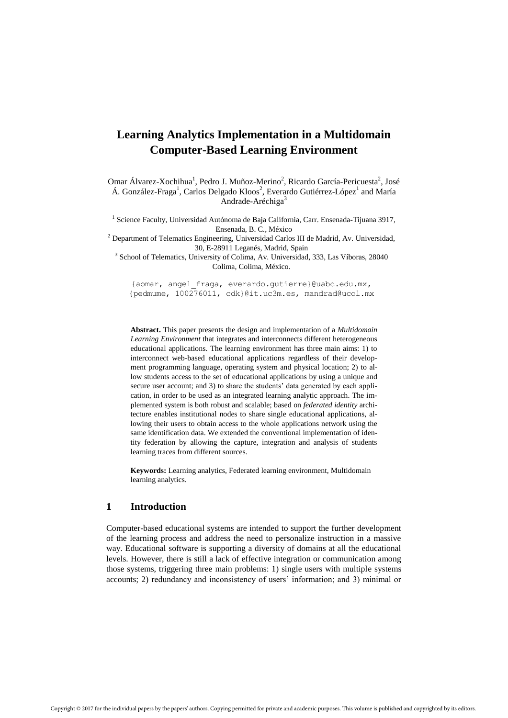# **Learning Analytics Implementation in a Multidomain Computer-Based Learning Environment**

Omar Álvarez-Xochihua<sup>1</sup>, Pedro J. Muñoz-Merino<sup>2</sup>, Ricardo García-Pericuesta<sup>2</sup>, José Á. González-Fraga<sup>1</sup>, Carlos Delgado Kloos<sup>2</sup>, Everardo Gutiérrez-López<sup>1</sup> and María Andrade-Aréchiga<sup>3</sup>

<sup>1</sup> Science Faculty, Universidad Autónoma de Baja California, Carr. Ensenada-Tijuana 3917, Ensenada, B. C., México

 $2$  Department of Telematics Engineering, Universidad Carlos III de Madrid, Av. Universidad, 30, E-28911 Leganés, Madrid, Spain

<sup>3</sup> School of Telematics, University of Colima, Av. Universidad, 333, Las Víboras, 28040 Colima, Colima, México.

[{aomar, angel\\_fraga, everardo.gutierre}@uabc.edu.mx,](mailto:aomar,%20angel_fraga,%20everardo.gutierre%7d@uabc.edu.mx) {pedmume, 100276011, [cdk}@it.uc3m.es,](mailto:cdk%7d@it.uc3m.es) mandrad@ucol.mx

**Abstract.** This paper presents the design and implementation of a *Multidomain Learning Environment* that integrates and interconnects different heterogeneous educational applications. The learning environment has three main aims: 1) to interconnect web-based educational applications regardless of their development programming language, operating system and physical location; 2) to allow students access to the set of educational applications by using a unique and secure user account; and 3) to share the students' data generated by each application, in order to be used as an integrated learning analytic approach. The implemented system is both robust and scalable; based on *federated identity* architecture enables institutional nodes to share single educational applications, allowing their users to obtain access to the whole applications network using the same identification data. We extended the conventional implementation of identity federation by allowing the capture, integration and analysis of students learning traces from different sources.

**Keywords:** Learning analytics, Federated learning environment, Multidomain learning analytics.

# **1 Introduction**

Computer-based educational systems are intended to support the further development of the learning process and address the need to personalize instruction in a massive way. Educational software is supporting a diversity of domains at all the educational levels. However, there is still a lack of effective integration or communication among those systems, triggering three main problems: 1) single users with multiple systems accounts; 2) redundancy and inconsistency of users' information; and 3) minimal or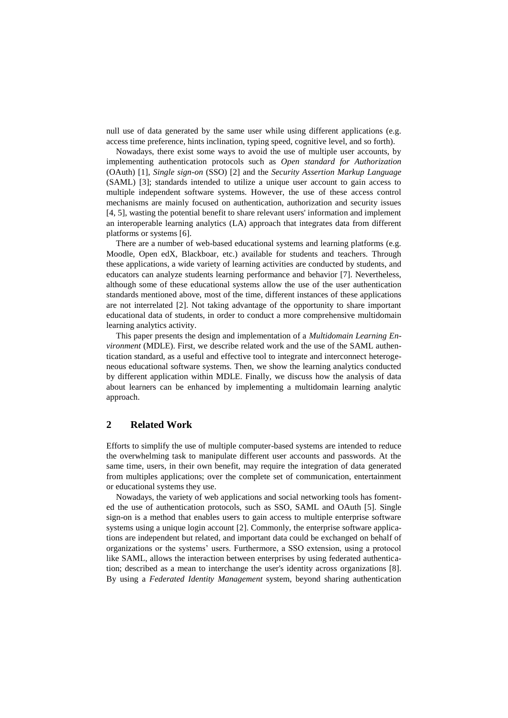null use of data generated by the same user while using different applications (e.g. access time preference, hints inclination, typing speed, cognitive level, and so forth).

Nowadays, there exist some ways to avoid the use of multiple user accounts, by implementing authentication protocols such as *Open standard for Authorization* (OAuth) [1], *Single sign-on* (SSO) [2] and the *Security Assertion Markup Language* (SAML) [3]; standards intended to utilize a unique user account to gain access to multiple independent software systems. However, the use of these access control mechanisms are mainly focused on authentication, authorization and security issues [4, 5], wasting the potential benefit to share relevant users' information and implement an interoperable learning analytics (LA) approach that integrates data from different platforms or systems [6].

There are a number of web-based educational systems and learning platforms (e.g. Moodle, Open edX, Blackboar, etc.) available for students and teachers. Through these applications, a wide variety of learning activities are conducted by students, and educators can analyze students learning performance and behavior [7]. Nevertheless, although some of these educational systems allow the use of the user authentication standards mentioned above, most of the time, different instances of these applications are not interrelated [2]. Not taking advantage of the opportunity to share important educational data of students, in order to conduct a more comprehensive multidomain learning analytics activity.

This paper presents the design and implementation of a *Multidomain Learning Environment* (MDLE). First, we describe related work and the use of the SAML authentication standard, as a useful and effective tool to integrate and interconnect heterogeneous educational software systems. Then, we show the learning analytics conducted by different application within MDLE. Finally, we discuss how the analysis of data about learners can be enhanced by implementing a multidomain learning analytic approach.

# **2 Related Work**

Efforts to simplify the use of multiple computer-based systems are intended to reduce the overwhelming task to manipulate different user accounts and passwords. At the same time, users, in their own benefit, may require the integration of data generated from multiples applications; over the complete set of communication, entertainment or educational systems they use.

Nowadays, the variety of web applications and social networking tools has fomented the use of authentication protocols, such as SSO, SAML and OAuth [5]. Single sign-on is a method that enables users to gain access to multiple enterprise software systems using a unique login account [2]. Commonly, the enterprise software applications are independent but related, and important data could be exchanged on behalf of organizations or the systems' users. Furthermore, a SSO extension, using a protocol like SAML, allows the interaction between enterprises by using federated authentication; described as a mean to interchange the user's identity across organizations [8]. By using a *Federated Identity Management* system, beyond sharing authentication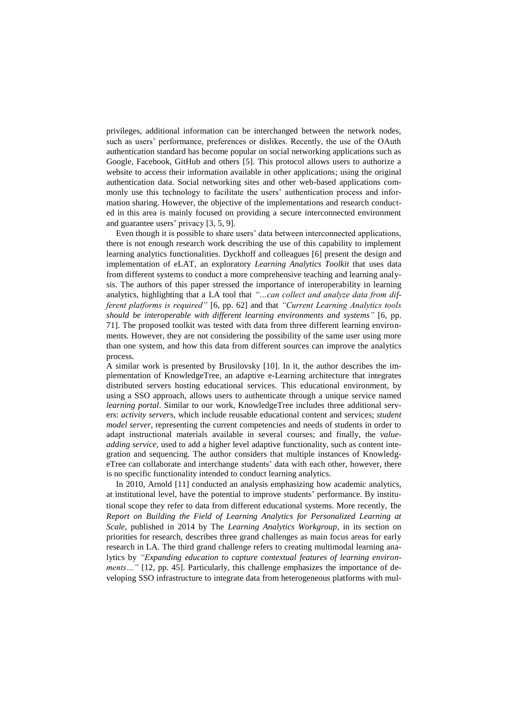privileges, additional information can be interchanged between the network nodes, such as users' performance, preferences or dislikes. Recently, the use of the OAuth authentication standard has become popular on social networking applications such as Google, Facebook, GitHub and others [5]. This protocol allows users to authorize a website to access their information available in other applications; using the original authentication data. Social networking sites and other web-based applications commonly use this technology to facilitate the users' authentication process and information sharing. However, the objective of the implementations and research conducted in this area is mainly focused on providing a secure interconnected environment and guarantee users' privacy [3, 5, 9].

Even though it is possible to share users' data between interconnected applications, there is not enough research work describing the use of this capability to implement learning analytics functionalities. Dyckhoff and colleagues [6] present the design and implementation of eLAT, an exploratory *Learning Analytics Toolkit* that uses data from different systems to conduct a more comprehensive teaching and learning analysis. The authors of this paper stressed the importance of interoperability in learning analytics, highlighting that a LA tool that *"…can collect and analyze data from different platforms is required"* [6, pp. 62] and that *"Current Learning Analytics tools should be interoperable with different learning environments and systems"* [6, pp. 71]. The proposed toolkit was tested with data from three different learning environments. However, they are not considering the possibility of the same user using more than one system, and how this data from different sources can improve the analytics process.

A similar work is presented by Brusilovsky [10]. In it, the author describes the implementation of KnowledgeTree, an adaptive e-Learning architecture that integrates distributed servers hosting educational services. This educational environment, by using a SSO approach, allows users to authenticate through a unique service named *learning portal*. Similar to our work, KnowledgeTree includes three additional servers: *activity server*s, which include reusable educational content and services; *student model server*, representing the current competencies and needs of students in order to adapt instructional materials available in several courses; and finally, the *valueadding service*, used to add a higher level adaptive functionality, such as content integration and sequencing. The author considers that multiple instances of KnowledgeTree can collaborate and interchange students' data with each other, however, there is no specific functionality intended to conduct learning analytics.

In 2010, Arnold [11] conducted an analysis emphasizing how academic analytics, at institutional level, have the potential to improve students' performance. By institutional scope they refer to data from different educational systems. More recently, the *Report on Building the Field of Learning Analytics for Personalized Learning at Scale*, published in 2014 by The *Learning Analytics Workgroup*, in its section on priorities for research, describes three grand challenges as main focus areas for early research in LA. The third grand challenge refers to creating multimodal learning analytics by *"Expanding education to capture contextual features of learning environments*..." [12, pp. 45]. Particularly, this challenge emphasizes the importance of developing SSO infrastructure to integrate data from heterogeneous platforms with mul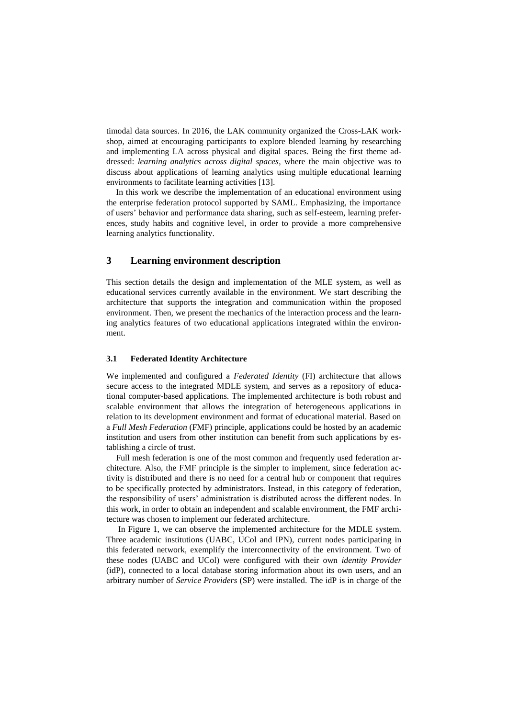timodal data sources. In 2016, the LAK community organized the Cross-LAK workshop, aimed at encouraging participants to explore blended learning by researching and implementing LA across physical and digital spaces. Being the first theme addressed: *learning analytics across digital spaces*, where the main objective was to discuss about applications of learning analytics using multiple educational learning environments to facilitate learning activities [13].

In this work we describe the implementation of an educational environment using the enterprise federation protocol supported by SAML. Emphasizing, the importance of users' behavior and performance data sharing, such as self-esteem, learning preferences, study habits and cognitive level, in order to provide a more comprehensive learning analytics functionality.

# **3 Learning environment description**

This section details the design and implementation of the MLE system, as well as educational services currently available in the environment. We start describing the architecture that supports the integration and communication within the proposed environment. Then, we present the mechanics of the interaction process and the learning analytics features of two educational applications integrated within the environment.

#### **3.1 Federated Identity Architecture**

We implemented and configured a *Federated Identity* (FI) architecture that allows secure access to the integrated MDLE system, and serves as a repository of educational computer-based applications. The implemented architecture is both robust and scalable environment that allows the integration of heterogeneous applications in relation to its development environment and format of educational material. Based on a *Full Mesh Federation* (FMF) principle, applications could be hosted by an academic institution and users from other institution can benefit from such applications by establishing a circle of trust.

Full mesh federation is one of the most common and frequently used federation architecture. Also, the FMF principle is the simpler to implement, since federation activity is distributed and there is no need for a central hub or component that requires to be specifically protected by administrators. Instead, in this category of federation, the responsibility of users' administration is distributed across the different nodes. In this work, in order to obtain an independent and scalable environment, the FMF architecture was chosen to implement our federated architecture.

 In Figure 1, we can observe the implemented architecture for the MDLE system. Three academic institutions (UABC, UCol and IPN), current nodes participating in this federated network, exemplify the interconnectivity of the environment. Two of these nodes (UABC and UCol) were configured with their own *identity Provider* (idP), connected to a local database storing information about its own users, and an arbitrary number of *Service Providers* (SP) were installed. The idP is in charge of the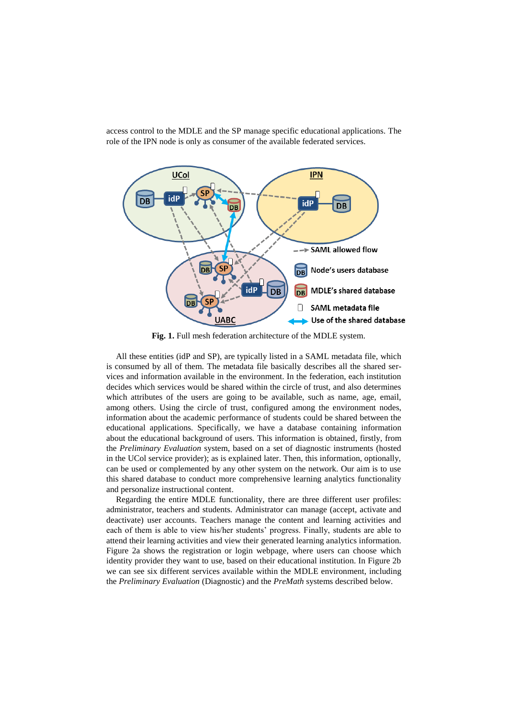access control to the MDLE and the SP manage specific educational applications. The role of the IPN node is only as consumer of the available federated services.



**Fig. 1.** Full mesh federation architecture of the MDLE system.

All these entities (idP and SP), are typically listed in a SAML metadata file, which is consumed by all of them. The metadata file basically describes all the shared services and information available in the environment. In the federation, each institution decides which services would be shared within the circle of trust, and also determines which attributes of the users are going to be available, such as name, age, email, among others. Using the circle of trust, configured among the environment nodes, information about the academic performance of students could be shared between the educational applications. Specifically, we have a database containing information about the educational background of users. This information is obtained, firstly, from the *Preliminary Evaluation* system, based on a set of diagnostic instruments (hosted in the UCol service provider); as is explained later. Then, this information, optionally, can be used or complemented by any other system on the network. Our aim is to use this shared database to conduct more comprehensive learning analytics functionality and personalize instructional content.

Regarding the entire MDLE functionality, there are three different user profiles: administrator, teachers and students. Administrator can manage (accept, activate and deactivate) user accounts. Teachers manage the content and learning activities and each of them is able to view his/her students' progress. Finally, students are able to attend their learning activities and view their generated learning analytics information. Figure 2a shows the registration or login webpage, where users can choose which identity provider they want to use, based on their educational institution. In Figure 2b we can see six different services available within the MDLE environment, including the *Preliminary Evaluation* (Diagnostic) and the *PreMath* systems described below.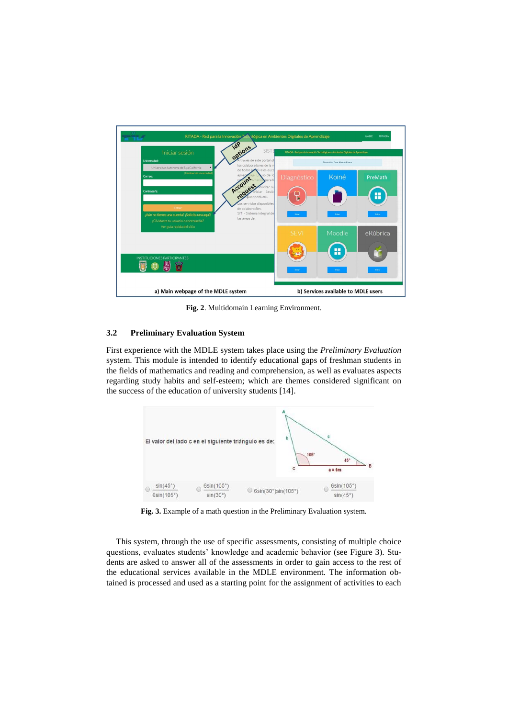

**Fig. 2**. Multidomain Learning Environment.

#### **3.2 Preliminary Evaluation System**

First experience with the MDLE system takes place using the *Preliminary Evaluation* system. This module is intended to identify educational gaps of freshman students in the fields of mathematics and reading and comprehension, as well as evaluates aspects regarding study habits and self-esteem; which are themes considered significant on the success of the education of university students [14].



Fig. 3. Example of a math question in the Preliminary Evaluation system.

This system, through the use of specific assessments, consisting of multiple choice questions, evaluates students' knowledge and academic behavior (see Figure 3). Students are asked to answer all of the assessments in order to gain access to the rest of the educational services available in the MDLE environment. The information obtained is processed and used as a starting point for the assignment of activities to each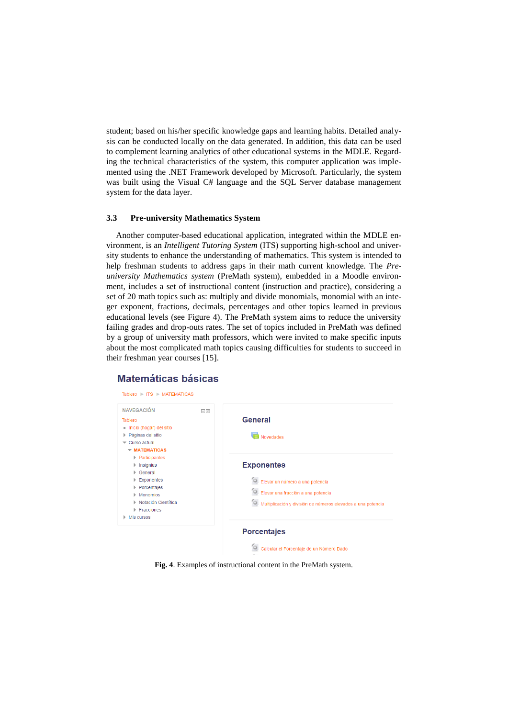student; based on his/her specific knowledge gaps and learning habits. Detailed analysis can be conducted locally on the data generated. In addition, this data can be used to complement learning analytics of other educational systems in the MDLE. Regarding the technical characteristics of the system, this computer application was implemented using the .NET Framework developed by Microsoft. Particularly, the system was built using the Visual C# language and the SQL Server database management system for the data layer.

#### **3.3 Pre-university Mathematics System**

Another computer-based educational application, integrated within the MDLE environment, is an *Intelligent Tutoring System* (ITS) supporting high-school and university students to enhance the understanding of mathematics. This system is intended to help freshman students to address gaps in their math current knowledge. The *Preuniversity Mathematics system* (PreMath system), embedded in a Moodle environment, includes a set of instructional content (instruction and practice), considering a set of 20 math topics such as: multiply and divide monomials, monomial with an integer exponent, fractions, decimals, percentages and other topics learned in previous educational levels (see Figure 4). The PreMath system aims to reduce the university failing grades and drop-outs rates. The set of topics included in PreMath was defined by a group of university math professors, which were invited to make specific inputs about the most complicated math topics causing difficulties for students to succeed in their freshman year courses [15].

## **Matemáticas básicas**



**Fig. 4**. Examples of instructional content in the PreMath system.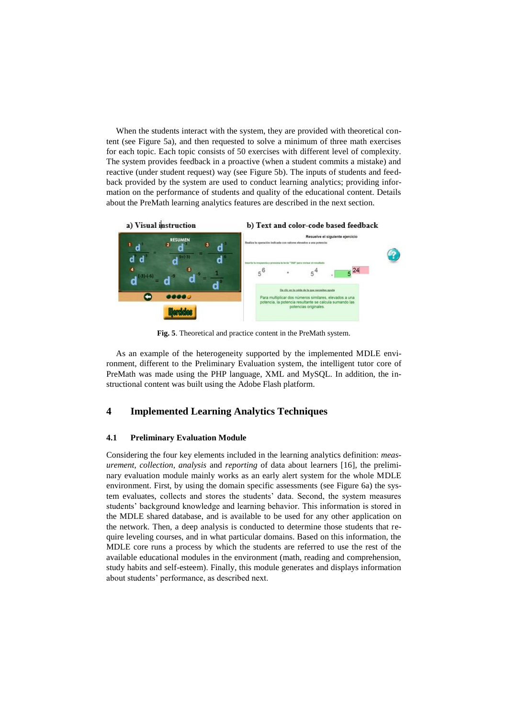When the students interact with the system, they are provided with theoretical content (see Figure 5a), and then requested to solve a minimum of three math exercises for each topic. Each topic consists of 50 exercises with different level of complexity. The system provides feedback in a proactive (when a student commits a mistake) and reactive (under student request) way (see Figure 5b). The inputs of students and feedback provided by the system are used to conduct learning analytics; providing information on the performance of students and quality of the educational content. Details about the PreMath learning analytics features are described in the next section.



**Fig. 5**. Theoretical and practice content in the PreMath system.

As an example of the heterogeneity supported by the implemented MDLE environment, different to the Preliminary Evaluation system, the intelligent tutor core of PreMath was made using the PHP language, XML and MySQL. In addition, the instructional content was built using the Adobe Flash platform.

# **4 Implemented Learning Analytics Techniques**

#### **4.1 Preliminary Evaluation Module**

Considering the four key elements included in the learning analytics definition: *measurement, collection, analysis* and *reporting* of data about learners [16], the preliminary evaluation module mainly works as an early alert system for the whole MDLE environment. First, by using the domain specific assessments (see Figure 6a) the system evaluates, collects and stores the students' data. Second, the system measures students' background knowledge and learning behavior. This information is stored in the MDLE shared database, and is available to be used for any other application on the network. Then, a deep analysis is conducted to determine those students that require leveling courses, and in what particular domains. Based on this information, the MDLE core runs a process by which the students are referred to use the rest of the available educational modules in the environment (math, reading and comprehension, study habits and self-esteem). Finally, this module generates and displays information about students' performance, as described next.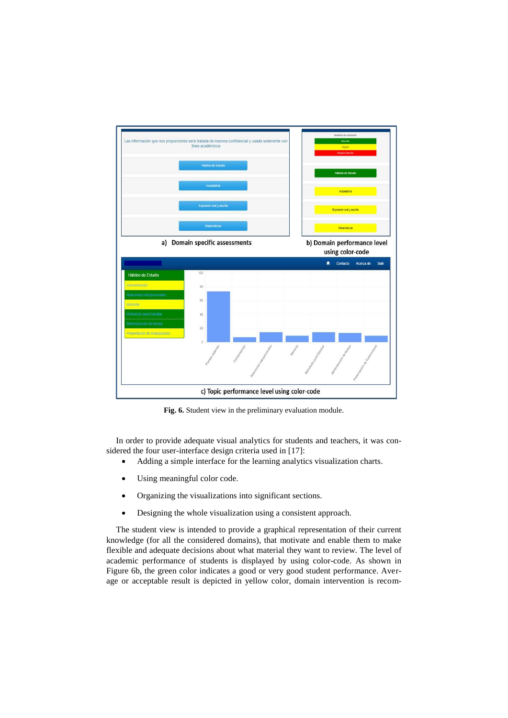

**Fig. 6.** Student view in the preliminary evaluation module.

In order to provide adequate visual analytics for students and teachers, it was considered the four user-interface design criteria used in [17]:

- Adding a simple interface for the learning analytics visualization charts.
- Using meaningful color code.
- Organizing the visualizations into significant sections.
- Designing the whole visualization using a consistent approach.

The student view is intended to provide a graphical representation of their current knowledge (for all the considered domains), that motivate and enable them to make flexible and adequate decisions about what material they want to review. The level of academic performance of students is displayed by using color-code. As shown in Figure 6b, the green color indicates a good or very good student performance. Average or acceptable result is depicted in yellow color, domain intervention is recom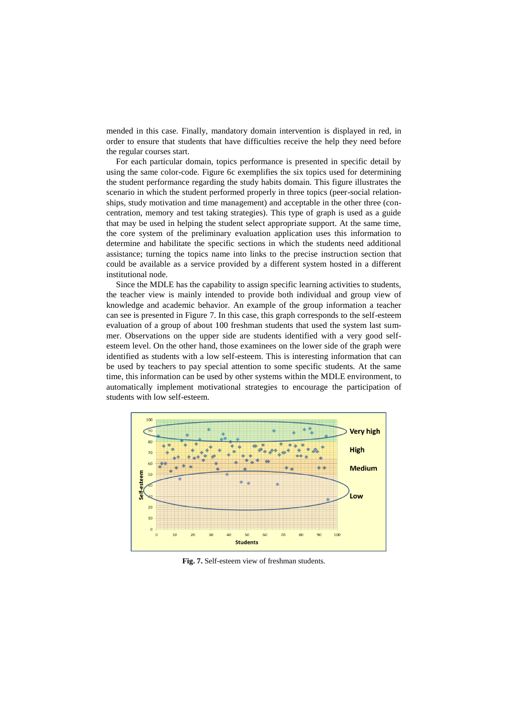mended in this case. Finally, mandatory domain intervention is displayed in red, in order to ensure that students that have difficulties receive the help they need before the regular courses start.

For each particular domain, topics performance is presented in specific detail by using the same color-code. Figure 6c exemplifies the six topics used for determining the student performance regarding the study habits domain. This figure illustrates the scenario in which the student performed properly in three topics (peer-social relationships, study motivation and time management) and acceptable in the other three (concentration, memory and test taking strategies). This type of graph is used as a guide that may be used in helping the student select appropriate support. At the same time, the core system of the preliminary evaluation application uses this information to determine and habilitate the specific sections in which the students need additional assistance; turning the topics name into links to the precise instruction section that could be available as a service provided by a different system hosted in a different institutional node.

Since the MDLE has the capability to assign specific learning activities to students, the teacher view is mainly intended to provide both individual and group view of knowledge and academic behavior. An example of the group information a teacher can see is presented in Figure 7. In this case, this graph corresponds to the self-esteem evaluation of a group of about 100 freshman students that used the system last summer. Observations on the upper side are students identified with a very good selfesteem level. On the other hand, those examinees on the lower side of the graph were identified as students with a low self-esteem. This is interesting information that can be used by teachers to pay special attention to some specific students. At the same time, this information can be used by other systems within the MDLE environment, to automatically implement motivational strategies to encourage the participation of students with low self-esteem.



**Fig. 7.** Self-esteem view of freshman students.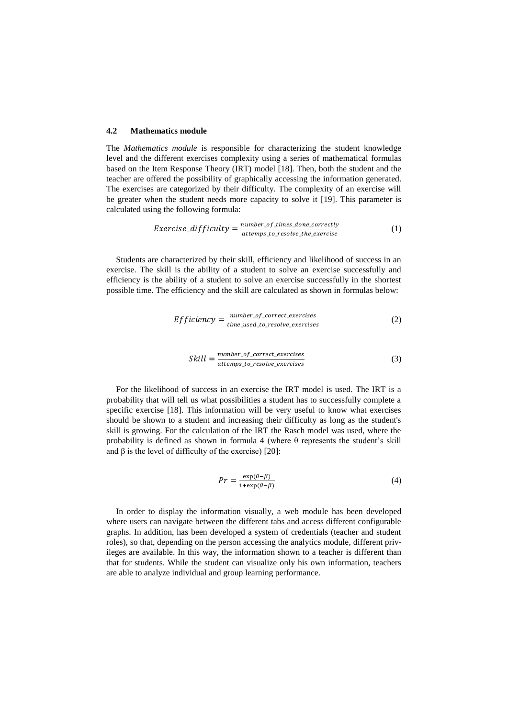#### **4.2 Mathematics module**

The *Mathematics module* is responsible for characterizing the student knowledge level and the different exercises complexity using a series of mathematical formulas based on the Item Response Theory (IRT) model [18]. Then, both the student and the teacher are offered the possibility of graphically accessing the information generated. The exercises are categorized by their difficulty. The complexity of an exercise will be greater when the student needs more capacity to solve it [19]. This parameter is calculated using the following formula:

$$
Exercise\_diffically = \frac{number\_of\_times\_done\_correctly}{attemps\_to\_resource\_the\_exercise}
$$
 (1)

Students are characterized by their skill, efficiency and likelihood of success in an exercise. The skill is the ability of a student to solve an exercise successfully and efficiency is the ability of a student to solve an exercise successfully in the shortest possible time. The efficiency and the skill are calculated as shown in formulas below:

$$
Efficiency = \frac{number\_of\_correct\_exercises}{time\_used\_to\_resolve\_exercises} \tag{2}
$$

$$
Still = \frac{number\_of\_correct\_exercises}{attemps\_to\_resolve\_exercises} \tag{3}
$$

For the likelihood of success in an exercise the IRT model is used. The IRT is a probability that will tell us what possibilities a student has to successfully complete a specific exercise [18]. This information will be very useful to know what exercises should be shown to a student and increasing their difficulty as long as the student's skill is growing. For the calculation of the IRT the Rasch model was used, where the probability is defined as shown in formula 4 (where θ represents the student's skill and  $\beta$  is the level of difficulty of the exercise) [20]:

$$
Pr = \frac{\exp(\theta - \beta)}{1 + \exp(\theta - \beta)}
$$
(4)

In order to display the information visually, a web module has been developed where users can navigate between the different tabs and access different configurable graphs. In addition, has been developed a system of credentials (teacher and student roles), so that, depending on the person accessing the analytics module, different privileges are available. In this way, the information shown to a teacher is different than that for students. While the student can visualize only his own information, teachers are able to analyze individual and group learning performance.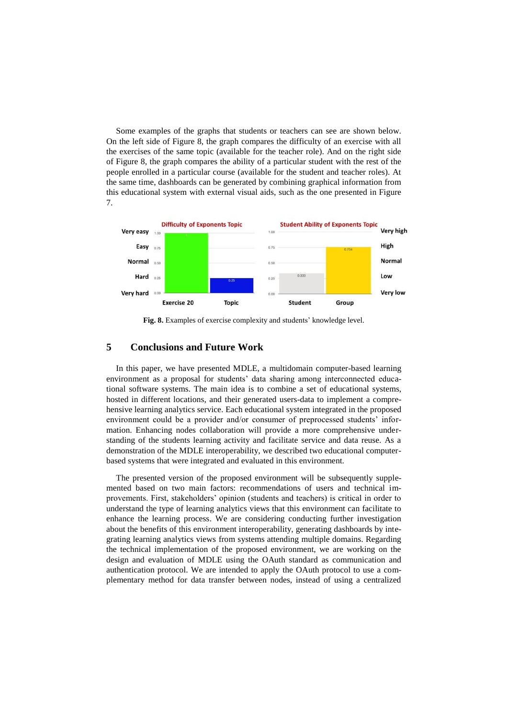Some examples of the graphs that students or teachers can see are shown below. On the left side of Figure 8, the graph compares the difficulty of an exercise with all the exercises of the same topic (available for the teacher role). And on the right side of Figure 8, the graph compares the ability of a particular student with the rest of the people enrolled in a particular course (available for the student and teacher roles). At the same time, dashboards can be generated by combining graphical information from this educational system with external visual aids, such as the one presented in Figure 7.



**Fig. 8.** Examples of exercise complexity and students' knowledge level.

## **5 Conclusions and Future Work**

In this paper, we have presented MDLE, a multidomain computer-based learning environment as a proposal for students' data sharing among interconnected educational software systems. The main idea is to combine a set of educational systems, hosted in different locations, and their generated users-data to implement a comprehensive learning analytics service. Each educational system integrated in the proposed environment could be a provider and/or consumer of preprocessed students' information. Enhancing nodes collaboration will provide a more comprehensive understanding of the students learning activity and facilitate service and data reuse. As a demonstration of the MDLE interoperability, we described two educational computerbased systems that were integrated and evaluated in this environment.

The presented version of the proposed environment will be subsequently supplemented based on two main factors: recommendations of users and technical improvements. First, stakeholders' opinion (students and teachers) is critical in order to understand the type of learning analytics views that this environment can facilitate to enhance the learning process. We are considering conducting further investigation about the benefits of this environment interoperability, generating dashboards by integrating learning analytics views from systems attending multiple domains. Regarding the technical implementation of the proposed environment, we are working on the design and evaluation of MDLE using the OAuth standard as communication and authentication protocol. We are intended to apply the OAuth protocol to use a complementary method for data transfer between nodes, instead of using a centralized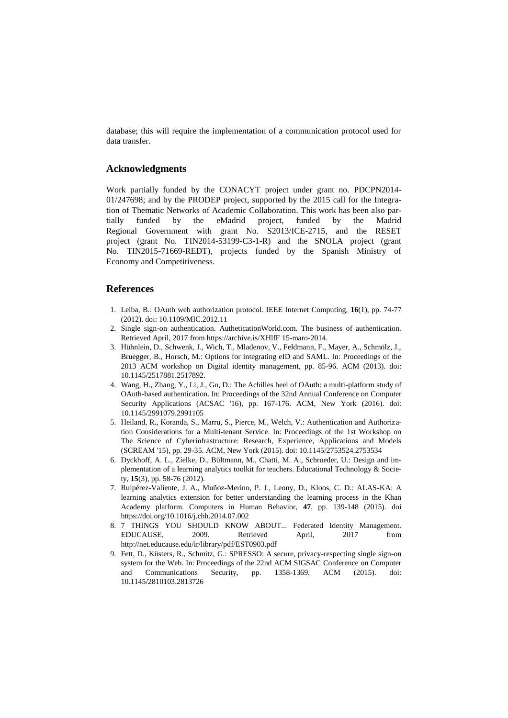database; this will require the implementation of a communication protocol used for data transfer.

#### **Acknowledgments**

Work partially funded by the CONACYT project under grant no. PDCPN2014- 01/247698; and by the PRODEP project, supported by the 2015 call for the Integration of Thematic Networks of Academic Collaboration. This work has been also partially funded by the eMadrid project, funded by the Madrid Regional Government with grant No. S2013/ICE-2715, and the RESET project (grant No. TIN2014-53199-C3-1-R) and the SNOLA project (grant No. TIN2015-71669-REDT), projects funded by the Spanish Ministry of Economy and Competitiveness.

### **References**

- 1. Leiba, B.: OAuth web authorization protocol. IEEE Internet Computing, **16**(1), pp. 74-77 (2012). doi: 10.1109/MIC.2012.11
- 2. Single sign-on authentication. AutheticationWorld.com. The business of authentication. Retrieved April, 2017 fro[m https://archive.is/XHlfF](https://archive.is/XHlfF) 15-maro-2014.
- 3. Hühnlein, D., Schwenk, J., Wich, T., Mladenov, V., Feldmann, F., Mayer, A., Schmölz, J., Bruegger, B., Horsch, M.: Options for integrating eID and SAML. In: Proceedings of the 2013 ACM workshop on Digital identity management, pp. 85-96. ACM (2013). doi: 10.1145/2517881.2517892.
- 4. Wang, H., Zhang, Y., Li, J., Gu, D.: The Achilles heel of OAuth: a multi-platform study of OAuth-based authentication. In: Proceedings of the 32nd Annual Conference on Computer Security Applications (ACSAC '16), pp. 167-176. ACM, New York (2016). doi: 10.1145/2991079.2991105
- 5. Heiland, R., Koranda, S., Marru, S., Pierce, M., Welch, V.: Authentication and Authorization Considerations for a Multi-tenant Service. In: Proceedings of the 1st Workshop on The Science of Cyberinfrastructure: Research, Experience, Applications and Models (SCREAM '15), pp. 29-35. ACM, New York (2015). doi: 10.1145/2753524.2753534
- 6. Dyckhoff, A. L., Zielke, D., Bültmann, M., Chatti, M. A., Schroeder, U.: Design and implementation of a learning analytics toolkit for teachers. Educational Technology & Society, **15**(3), pp. 58-76 (2012).
- 7. Ruipérez-Valiente, J. A., Muñoz-Merino, P. J., Leony, D., Kloos, C. D.: ALAS-KA: A learning analytics extension for better understanding the learning process in the Khan Academy platform. Computers in Human Behavior, **47**, pp. 139-148 (2015). doi https://doi.org/10.1016/j.chb.2014.07.002
- 8. 7 THINGS YOU SHOULD KNOW ABOUT... Federated Identity Management. EDUCAUSE, 2009. Retrieved April, 2017 from <http://net.educause.edu/ir/library/pdf/EST0903.pdf>
- 9. Fett, D., Küsters, R., Schmitz, G.: SPRESSO: A secure, privacy-respecting single sign-on system for the Web. In: Proceedings of the 22nd ACM SIGSAC Conference on Computer and Communications Security, pp. 1358-1369. ACM (2015). doi: 10.1145/2810103.2813726